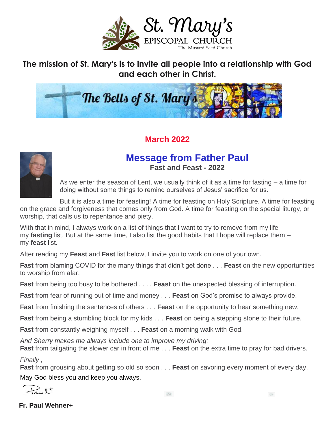

**The mission of St. Mary's is to invite all people into a relationship with God and each other in Christ.**



### **March 2022**



### **Message from Father Paul Fast and Feast - 2022**

As we enter the season of Lent, we usually think of it as a time for fasting – a time for doing without some things to remind ourselves of Jesus' sacrifice for us.

But it is also a time for feasting! A time for feasting on Holy Scripture. A time for feasting on the grace and forgiveness that comes only from God. A time for feasting on the special liturgy, or worship, that calls us to repentance and piety.

With that in mind, I always work on a list of things that I want to try to remove from my life – my **fasting** list. But at the same time, I also list the good habits that I hope will replace them – my **feast** list.

After reading my **Feast** and **Fast** list below, I invite you to work on one of your own.

**Fast** from blaming COVID for the many things that didn't get done . . . **Feast** on the new opportunities to worship from afar.

**Fast** from being too busy to be bothered . . . . **Feast** on the unexpected blessing of interruption.

**Fast** from fear of running out of time and money . . . **Feast** on God's promise to always provide.

**Fast** from finishing the sentences of others . . . **Feast** on the opportunity to hear something new.

**Fast** from being a stumbling block for my kids . . . **Feast** on being a stepping stone to their future.

**Fast** from constantly weighing myself . . . **Feast** on a morning walk with God.

*And Sherry makes me always include one to improve my driving:*

**Fast** from tailgating the slower car in front of me . . . **Feast** on the extra time to pray for bad drivers. *Finally ,*

**Fast** from grousing about getting so old so soon . . . **Feast** on savoring every moment of every day.

May God bless you and keep you always.

 $\frac{1}{2} \frac{1}{2} \frac{1}{2} \frac{1}{2}$ 

 **Fr. Paul Wehner+**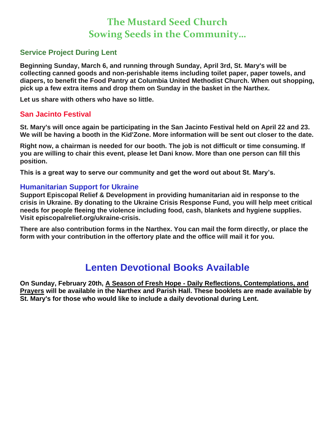## **The Mustard Seed Church Sowing Seeds in the Community…**

### **Service Project During Lent**

**Beginning Sunday, March 6, and running through Sunday, April 3rd, St. Mary's will be collecting canned goods and non-perishable items including toilet paper, paper towels, and diapers, to benefit the Food Pantry at Columbia United Methodist Church. When out shopping, pick up a few extra items and drop them on Sunday in the basket in the Narthex.**

**Let us share with others who have so little.**

### **San Jacinto Festival**

**St. Mary's will once again be participating in the San Jacinto Festival held on April 22 and 23. We will be having a booth in the Kid'Zone. More information will be sent out closer to the date.**

**Right now, a chairman is needed for our booth. The job is not difficult or time consuming. If you are willing to chair this event, please let Dani know. More than one person can fill this position.**

**This is a great way to serve our community and get the word out about St. Mary's.**

### **Humanitarian Support for Ukraine**

**Support Episcopal Relief & Development in providing humanitarian aid in response to the crisis in Ukraine. By donating to the Ukraine Crisis Response Fund, you will help meet critical needs for people fleeing the violence including food, cash, blankets and hygiene supplies. Visit episcopalrelief.org/ukraine-crisis.**

**There are also contribution forms in the Narthex. You can mail the form directly, or place the form with your contribution in the offertory plate and the office will mail it for you.**

## **Lenten Devotional Books Available**

**On Sunday, February 20th, A Season of Fresh Hope - Daily Reflections, Contemplations, and Prayers will be available in the Narthex and Parish Hall. These booklets are made available by St. Mary's for those who would like to include a daily devotional during Lent.**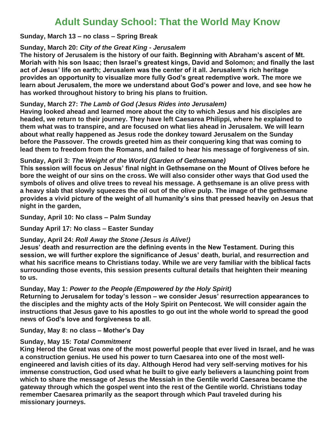## **Adult Sunday School: That the World May Know**

#### **Sunday, March 13 – no class – Spring Break**

#### **Sunday, March 20:** *City of the Great King - Jerusalem*

**The history of Jerusalem is the history of our faith. Beginning with Abraham's ascent of Mt. Moriah with his son Isaac; then Israel's greatest kings, David and Solomon; and finally the last act of Jesus' life on earth; Jerusalem was the center of it all. Jerusalem's rich heritage provides an opportunity to visualize more fully God's great redemptive work. The more we learn about Jerusalem, the more we understand about God's power and love, and see how he has worked throughout history to bring his plans to fruition.**

#### **Sunday, March 27:** *The Lamb of God (Jesus Rides into Jerusalem)*

**Having looked ahead and learned more about the city to which Jesus and his disciples are headed, we return to their journey. They have left Caesarea Philippi, where he explained to them what was to transpire, and are focused on what lies ahead in Jerusalem. We will learn about what really happened as Jesus rode the donkey toward Jerusalem on the Sunday before the Passover. The crowds greeted him as their conquering king that was coming to lead them to freedom from the Romans, and failed to hear his message of forgiveness of sin.**

#### **Sunday, April 3:** *The Weight of the World (Garden of Gethsemane)*

**This session will focus on Jesus' final night in Gethsemane on the Mount of Olives before he bore the weight of our sins on the cross. We will also consider other ways that God used the symbols of olives and olive trees to reveal his message. A gethsemane is an olive press with a heavy slab that slowly squeezes the oil out of the olive pulp. The image of the gethsemane provides a vivid picture of the weight of all humanity's sins that pressed heavily on Jesus that night in the garden,**

**Sunday, April 10: No class – Palm Sunday**

**Sunday April 17: No class – Easter Sunday**

### **Sunday, April 24:** *Roll Away the Stone (Jesus is Alive!)*

**Jesus' death and resurrection are the defining events in the New Testament. During this session, we will further explore the significance of Jesus' death, burial, and resurrection and what his sacrifice means to Christians today. While we are very familiar with the biblical facts surrounding those events, this session presents cultural details that heighten their meaning to us.**

### **Sunday, May 1:** *Power to the People (Empowered by the Holy Spirit)*

**Returning to Jerusalem for today's lesson – we consider Jesus' resurrection appearances to the disciples and the mighty acts of the Holy Spirit on Pentecost. We will consider again the instructions that Jesus gave to his apostles to go out int the whole world to spread the good news of God's love and forgiveness to all.**

**Sunday, May 8: no class – Mother's Day**

### **Sunday, May 15:** *Total Commitment*

**King Herod the Great was one of the most powerful people that ever lived in Israel, and he was a construction genius. He used his power to turn Caesarea into one of the most wellengineered and lavish cities of its day. Although Herod had very self-serving motives for his immense construction, God used what he built to give early believers a launching point from which to share the message of Jesus the Messiah in the Gentile world Caesarea became the gateway through which the gospel went into the rest of the Gentile world. Christians today remember Caesarea primarily as the seaport through which Paul traveled during his missionary journeys.**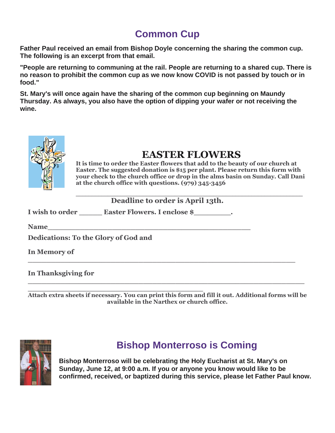# **Common Cup**

**Father Paul received an email from Bishop Doyle concerning the sharing the common cup. The following is an excerpt from that email.**

**"People are returning to communing at the rail. People are returning to a shared cup. There is no reason to prohibit the common cup as we now know COVID is not passed by touch or in food."**

**St. Mary's will once again have the sharing of the common cup beginning on Maundy Thursday. As always, you also have the option of dipping your wafer or not receiving the wine.**



## **EASTER FLOWERS**

**It is time to order the Easter flowers that add to the beauty of our church at Easter. The suggested donation is \$15 per plant. Please return this form with your check to the church office or drop in the alms basin on Sunday. Call Dani at the church office with questions. (979) 345-3456**

| Deadline to order is April 13th. |  |
|----------------------------------|--|

I wish to order **Easter Flowers. I enclose \$** 

**Name\_\_\_\_\_\_\_\_\_\_\_\_\_\_\_\_\_\_\_\_\_\_\_\_\_\_\_\_\_\_\_\_\_\_\_\_\_\_\_\_\_\_\_\_**

**Dedications: To the Glory of God and**

**In Memory of** 

**In Thanksgiving for** 

**\_\_\_\_\_\_\_\_\_\_\_\_\_\_\_\_\_\_\_\_\_\_\_\_\_\_\_\_\_\_\_\_\_\_\_\_\_\_ Attach extra sheets if necessary. You can print this form and fill it out. Additional forms will be available in the Narthex or church office.**

**\_\_\_\_\_\_\_\_\_\_\_\_\_\_\_\_\_\_\_\_\_\_\_\_\_\_\_\_\_\_\_\_\_\_\_\_\_\_\_\_\_\_\_\_\_\_\_\_\_\_\_\_\_\_\_\_\_\_\_\_**

**\_\_\_\_\_\_\_\_\_\_\_\_\_\_\_\_\_\_\_\_\_\_\_\_\_\_\_\_\_\_\_\_\_\_\_\_\_\_\_\_\_\_\_\_\_\_\_\_\_\_\_\_\_\_\_\_\_\_**



## **Bishop Monterroso is Coming**

**Bishop Monterroso will be celebrating the Holy Eucharist at St. Mary's on Sunday, June 12, at 9:00 a.m. If you or anyone you know would like to be confirmed, received, or baptized during this service, please let Father Paul know.**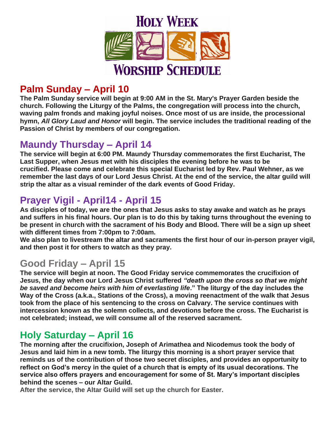

# **Palm Sunday – April 10**

**The Palm Sunday service will begin at 9:00 AM in the St. Mary's Prayer Garden beside the church. Following the Liturgy of the Palms, the congregation will process into the church, waving palm fronds and making joyful noises. Once most of us are inside, the processional hymn,** *All Glory Laud and Honor* **will begin. The service includes the traditional reading of the Passion of Christ by members of our congregation.**

### **Maundy Thursday – April 14**

**The service will begin at 6:00 PM. Maundy Thursday commemorates the first Eucharist, The Last Supper, when Jesus met with his disciples the evening before he was to be crucified. Please come and celebrate this special Eucharist led by Rev. Paul Wehner, as we remember the last days of our Lord Jesus Christ. At the end of the service, the altar guild will strip the altar as a visual reminder of the dark events of Good Friday.**

## **Prayer Vigil - April14 - April 15**

**As disciples of today, we are the ones that Jesus asks to stay awake and watch as he prays and suffers in his final hours. Our plan is to do this by taking turns throughout the evening to be present in church with the sacrament of his Body and Blood. There will be a sign up sheet with different times from 7:00pm to 7:00am.**

**We also plan to livestream the altar and sacraments the first hour of our in-person prayer vigil, and then post it for others to watch as they pray.**

### **Good Friday – April 15**

**The service will begin at noon. The Good Friday service commemorates the crucifixion of Jesus, the day when our Lord Jesus Christ suffered** *"death upon the cross so that we might be saved and become heirs with him of everlasting life***." The liturgy of the day includes the Way of the Cross (a.k.a., Stations of the Cross), a moving reenactment of the walk that Jesus took from the place of his sentencing to the cross on Calvary. The service continues with intercession known as the solemn collects, and devotions before the cross. The Eucharist is not celebrated; instead, we will consume all of the reserved sacrament.**

## **Holy Saturday – April 16**

**The morning after the crucifixion, Joseph of Arimathea and Nicodemus took the body of Jesus and laid him in a new tomb. The liturgy this morning is a short prayer service that reminds us of the contribution of those two secret disciples, and provides an opportunity to reflect on God's mercy in the quiet of a church that is empty of its usual decorations. The service also offers prayers and encouragement for some of St. Mary's important disciples behind the scenes – our Altar Guild.** 

**After the service, the Altar Guild will set up the church for Easter.**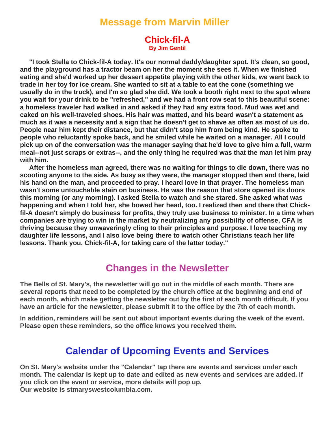### **Message from Marvin Miller**

#### **Chick-fil-A By Jim Gentil**

 **"I took Stella to Chick-fil-A today. It's our normal daddy/daughter spot. It's clean, so good, and the playground has a tractor beam on her the moment she sees it. When we finished eating and she'd worked up her dessert appetite playing with the other kids, we went back to trade in her toy for ice cream. She wanted to sit at a table to eat the cone (something we usually do in the truck), and I'm so glad she did. We took a booth right next to the spot where you wait for your drink to be "refreshed," and we had a front row seat to this beautiful scene: a homeless traveler had walked in and asked if they had any extra food. Mud was wet and caked on his well-traveled shoes. His hair was matted, and his beard wasn't a statement as much as it was a necessity and a sign that he doesn't get to shave as often as most of us do. People near him kept their distance, but that didn't stop him from being kind. He spoke to people who reluctantly spoke back, and he smiled while he waited on a manager. All I could pick up on of the conversation was the manager saying that he'd love to give him a full, warm meal--not just scraps or extras--, and the only thing he required was that the man let him pray with him.**

 **After the homeless man agreed, there was no waiting for things to die down, there was no scooting anyone to the side. As busy as they were, the manager stopped then and there, laid his hand on the man, and proceeded to pray. I heard love in that prayer. The homeless man wasn't some untouchable stain on business. He was the reason that store opened its doors this morning (or any morning). I asked Stella to watch and she stared. She asked what was happening and when I told her, she bowed her head, too. I realized then and there that Chickfil-A doesn't simply do business for profits, they truly use business to minister. In a time when companies are trying to win in the market by neutralizing any possibility of offense, CFA is thriving because they unwaveringly cling to their principles and purpose. I love teaching my daughter life lessons, and I also love being there to watch other Christians teach her life lessons. Thank you, Chick-fil-A, for taking care of the latter today."**

### **Changes in the Newsletter**

**The Bells of St. Mary's, the newsletter will go out in the middle of each month. There are several reports that need to be completed by the church office at the beginning and end of each month, which make getting the newsletter out by the first of each month difficult. If you have an article for the newsletter, please submit it to the office by the 7th of each month.**

**In addition, reminders will be sent out about important events during the week of the event. Please open these reminders, so the office knows you received them.**

### **Calendar of Upcoming Events and Services**

**On St. Mary's website under the "Calendar" tap there are events and services under each month. The calendar is kept up to date and edited as new events and services are added. If you click on the event or service, more details will pop up. Our website is stmaryswestcolumbia.com.**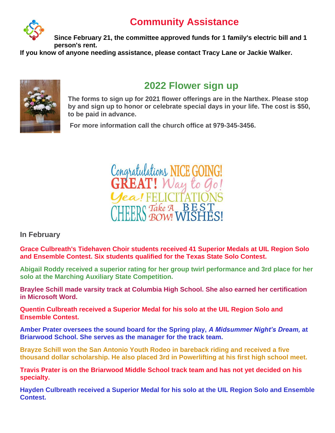## **Community Assistance**



**Since February 21, the committee approved funds for 1 family's electric bill and 1 person's rent.**

**If you know of anyone needing assistance, please contact Tracy Lane or Jackie Walker.**



## **2022 Flower sign up**

**The forms to sign up for 2021 flower offerings are in the Narthex. Please stop by and sign up to honor or celebrate special days in your life. The cost is \$50, to be paid in advance.**

**For more information call the church office at 979-345-3456.**



**In February**

**Grace Culbreath's Tidehaven Choir students received 41 Superior Medals at UIL Region Solo and Ensemble Contest. Six students qualified for the Texas State Solo Contest.**

**Abigail Roddy received a superior rating for her group twirl performance and 3rd place for her solo at the Marching Auxiliary State Competition.**

**Braylee Schill made varsity track at Columbia High School. She also earned her certification in Microsoft Word.**

**Quentin Culbreath received a Superior Medal for his solo at the UIL Region Solo and Ensemble Contest.**

**Amber Prater oversees the sound board for the Spring play,** *A Midsummer Night's Dream,* **at Briarwood School. She serves as the manager for the track team.**

**Brayze Schill won the San Antonio Youth Rodeo in bareback riding and received a five thousand dollar scholarship. He also placed 3rd in Powerlifting at his first high school meet.**

**Travis Prater is on the Briarwood Middle School track team and has not yet decided on his specialty.**

**Hayden Culbreath received a Superior Medal for his solo at the UIL Region Solo and Ensemble Contest.**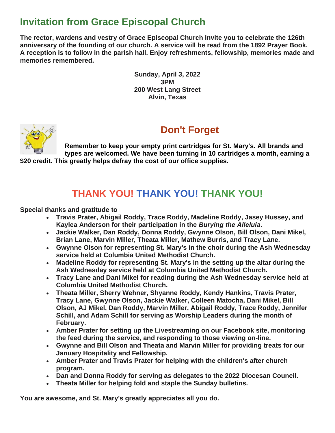## **Invitation from Grace Episcopal Church**

**The rector, wardens and vestry of Grace Episcopal Church invite you to celebrate the 126th anniversary of the founding of our church. A service will be read from the 1892 Prayer Book. A reception is to follow in the parish hall. Enjoy refreshments, fellowship, memories made and memories remembered.**

> **Sunday, April 3, 2022 3PM 200 West Lang Street Alvin, Texas**



## **Don't Forget**

**Remember to keep your empty print cartridges for St. Mary's. All brands and types are welcomed. We have been turning in 10 cartridges a month, earning a \$20 credit. This greatly helps defray the cost of our office supplies.**

## **THANK YOU! THANK YOU! THANK YOU!**

**Special thanks and gratitude to**

- **Travis Prater, Abigail Roddy, Trace Roddy, Madeline Roddy, Jasey Hussey, and Kaylea Anderson for their participation in the** *Burying the Alleluia***.**
- **Jackie Walker, Dan Roddy, Donna Roddy, Gwynne Olson, Bill Olson, Dani Mikel, Brian Lane, Marvin Miller, Theata Miller, Mathew Burris, and Tracy Lane.**
- **Gwynne Olson for representing St. Mary's in the choir during the Ash Wednesday service held at Columbia United Methodist Church.**
- **Madeline Roddy for representing St. Mary's in the setting up the altar during the Ash Wednesday service held at Columbia United Methodist Church.**
- **Tracy Lane and Dani Mikel for reading during the Ash Wednesday service held at Columbia United Methodist Church.**
- **Theata Miller, Sherry Wehner, Shyanne Roddy, Kendy Hankins, Travis Prater, Tracy Lane, Gwynne Olson, Jackie Walker, Colleen Matocha, Dani Mikel, Bill Olson, AJ Mikel, Dan Roddy, Marvin Miller, Abigail Roddy, Trace Roddy, Jennifer Schill, and Adam Schill for serving as Worship Leaders during the month of February.**
- **Amber Prater for setting up the Livestreaming on our Facebook site, monitoring the feed during the service, and responding to those viewing on-line.**
- **Gwynne and Bill Olson and Theata and Marvin Miller for providing treats for our January Hospitality and Fellowship.**
- **Amber Prater and Travis Prater for helping with the children's after church program.**
- **Dan and Donna Roddy for serving as delegates to the 2022 Diocesan Council.**
- **Theata Miller for helping fold and staple the Sunday bulletins.**

**You are awesome, and St. Mary's greatly appreciates all you do.**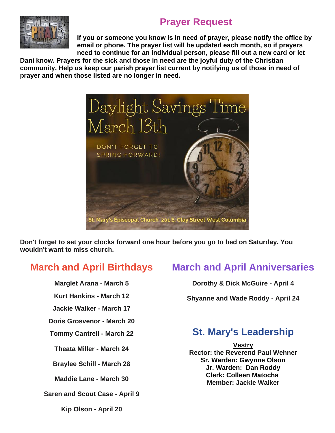## **Prayer Request**



**If you or someone you know is in need of prayer, please notify the office by email or phone. The prayer list will be updated each month, so if prayers need to continue for an individual person, please fill out a new card or let** 

**Dani know. Prayers for the sick and those in need are the joyful duty of the Christian community. Help us keep our parish prayer list current by notifying us of those in need of prayer and when those listed are no longer in need.**



**Don't forget to set your clocks forward one hour before you go to bed on Saturday. You wouldn't want to miss church.**

### **March and April Birthdays**

**Marglet Arana - March 5**

**Kurt Hankins - March 12**

**Jackie Walker - March 17**

**Doris Grosvenor - March 20**

**Tommy Cantrell - March 22**

**Theata Miller - March 24**

**Braylee Schill - March 28**

**Maddie Lane - March 30**

**Saren and Scout Case - April 9**

**Kip Olson - April 20**

## **March and April Anniversaries**

**Dorothy & Dick McGuire - April 4**

**Shyanne and Wade Roddy - April 24**

## **St. Mary's Leadership**

**Vestry Rector: the Reverend Paul Wehner Sr. Warden: Gwynne Olson Jr. Warden: Dan Roddy Clerk: Colleen Matocha Member: Jackie Walker**